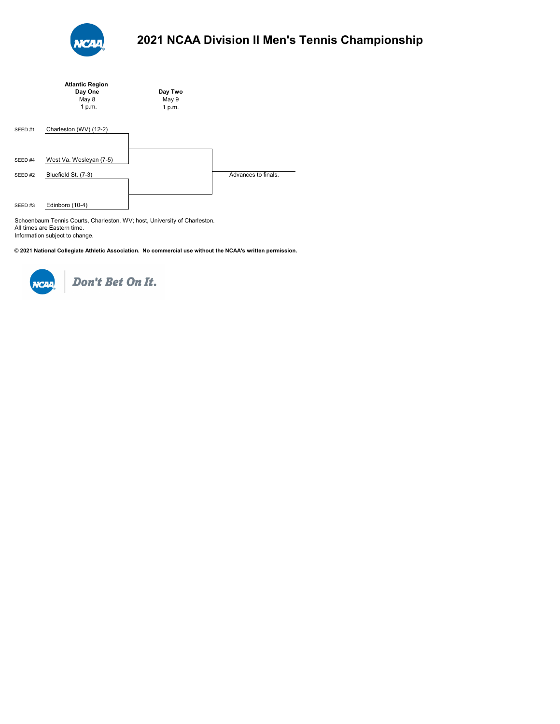

|                    | <b>Atlantic Region</b>  |         |                     |
|--------------------|-------------------------|---------|---------------------|
|                    | Day One                 | Day Two |                     |
|                    | May 8                   | May 9   |                     |
|                    | 1 p.m.                  | 1 p.m.  |                     |
|                    |                         |         |                     |
| SEED <sub>#1</sub> | Charleston (WV) (12-2)  |         |                     |
|                    |                         |         |                     |
|                    |                         |         |                     |
| SEED #4            | West Va. Wesleyan (7-5) |         |                     |
|                    |                         |         | Advances to finals. |
| SEED <sub>#2</sub> | Bluefield St. (7-3)     |         |                     |
|                    |                         |         |                     |
| SEED#3             | Edinboro (10-4)         |         |                     |
|                    |                         |         |                     |

Schoenbaum Tennis Courts, Charleston, WV; host, University of Charleston. All times are Eastern time. Information subject to change.

**© 2021 National Collegiate Athletic Association. No commercial use without the NCAA's written permission.** 



NCIN Don't Bet On It.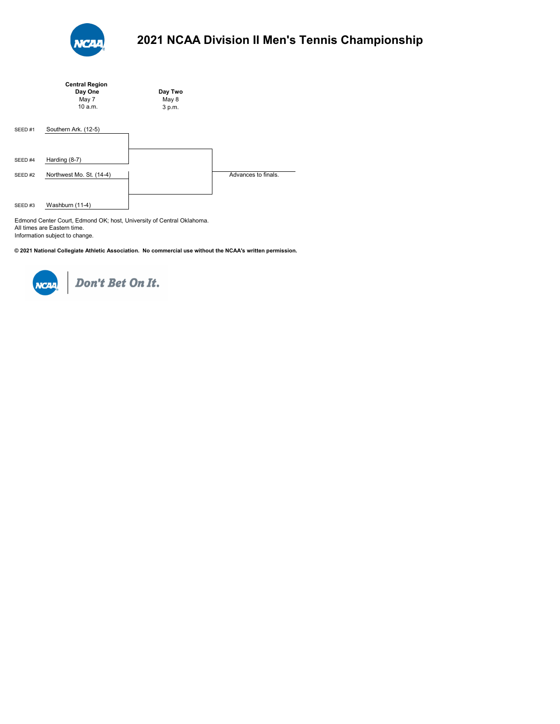

|                    | <b>Central Region</b>    |         |                     |
|--------------------|--------------------------|---------|---------------------|
|                    | Day One                  | Day Two |                     |
|                    | May 7                    | May 8   |                     |
|                    | 10a.m.                   | 3 p.m.  |                     |
|                    |                          |         |                     |
| SEED <sub>#1</sub> | Southern Ark. (12-5)     |         |                     |
|                    |                          |         |                     |
|                    |                          |         |                     |
|                    |                          |         |                     |
| SEED <sub>#4</sub> | Harding (8-7)            |         |                     |
|                    |                          |         |                     |
| SEED #2            | Northwest Mo. St. (14-4) |         | Advances to finals. |
|                    |                          |         |                     |
|                    |                          |         |                     |
| SEED#3             | Washburn (11-4)          |         |                     |

Edmond Center Court, Edmond OK; host, University of Central Oklahoma. All times are Eastern time. Information subject to change.

**© 2021 National Collegiate Athletic Association. No commercial use without the NCAA's written permission.** 



NCAR Don't Bet On It.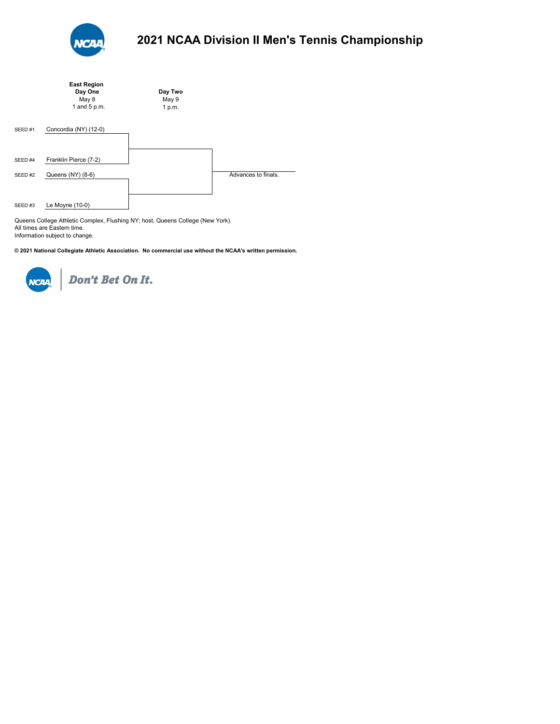

|                    | <b>East Region</b><br>Day One | Day Two         |                     |
|--------------------|-------------------------------|-----------------|---------------------|
|                    | May 8<br>1 and 5 p.m.         | May 9<br>1 p.m. |                     |
| SEED <sub>#1</sub> | Concordia (NY) (12-0)         |                 |                     |
| SEED #4            | Franklin Pierce (7-2)         |                 |                     |
| SEED #2            | Queens (NY) (8-6)             |                 | Advances to finals. |
| SEED#3             | Le Moyne (10-0)               |                 |                     |

Queens College Athletic Complex, Flushing NY; host, Queens College (New York). All times are Eastern time. Information subject to change.

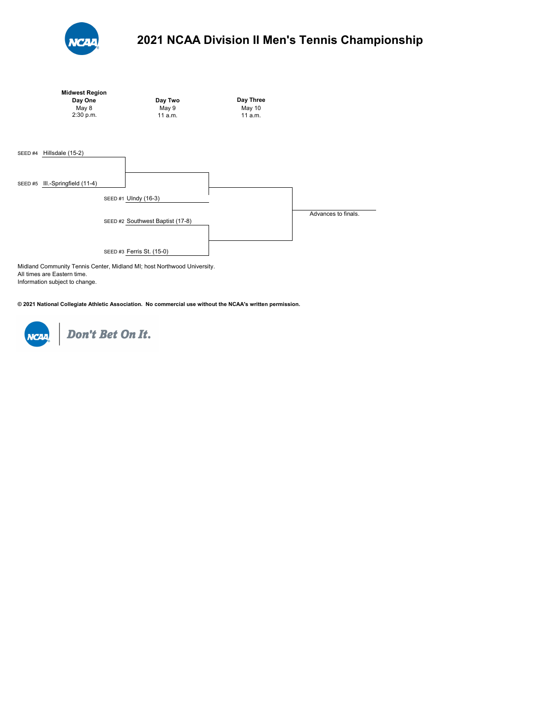



Midland Community Tennis Center, Midland MI; host Northwood University. All times are Eastern time. Information subject to change.

**© 2021 National Collegiate Athletic Association. No commercial use without the NCAA's written permission.** 



Don't Bet On It.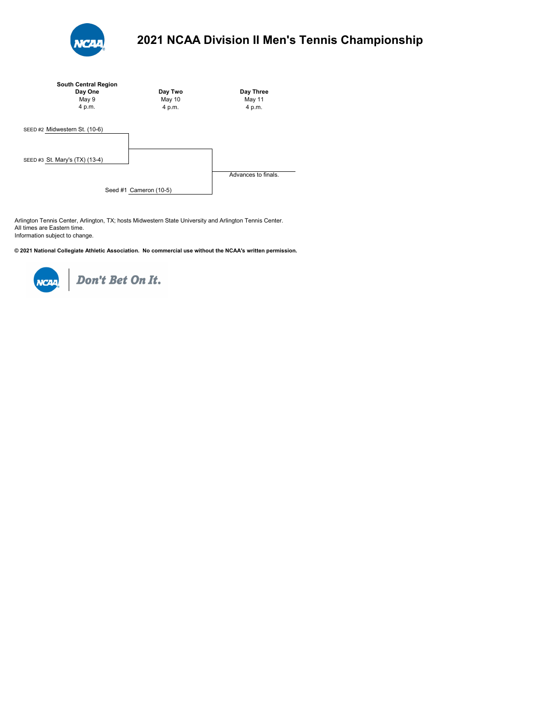

| <b>South Central Region</b><br>Day One<br>May 9<br>4 p.m. | Day Two<br>May 10<br>4 p.m. | Day Three<br>May 11<br>4 p.m. |
|-----------------------------------------------------------|-----------------------------|-------------------------------|
| SEED #2 Midwestern St. (10-6)                             |                             |                               |
| SEED #3 St. Mary's (TX) (13-4)                            |                             |                               |
|                                                           |                             | Advances to finals.           |
|                                                           | Seed #1 Cameron (10-5)      |                               |

Arlington Tennis Center, Arlington, TX; hosts Midwestern State University and Arlington Tennis Center. All times are Eastern time. Information subject to change.

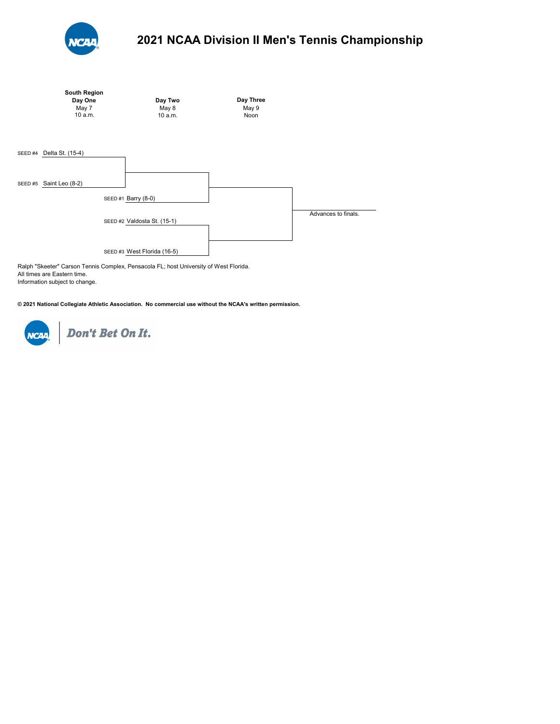



Ralph "Skeeter" Carson Tennis Complex, Pensacola FL; host University of West Florida. All times are Eastern time. Information subject to change.

**© 2021 National Collegiate Athletic Association. No commercial use without the NCAA's written permission.** 



Don't Bet On It.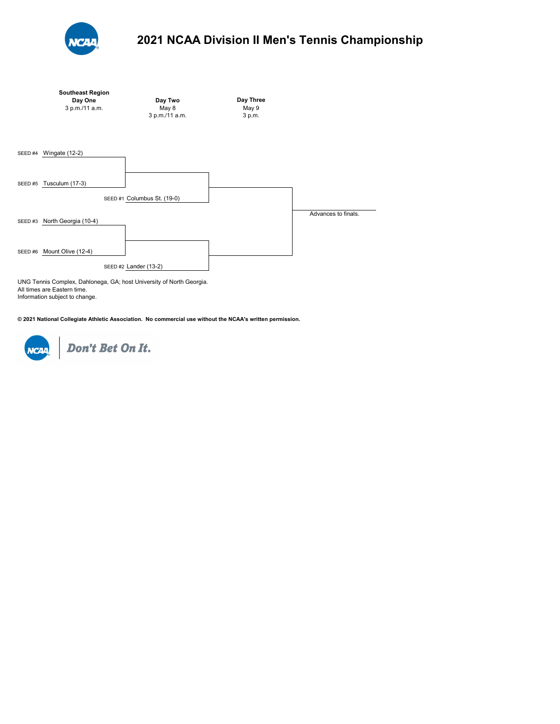

|         | <b>Southeast Region</b><br>Day One<br>3 p.m./11 a.m. | Day Two<br>May 8<br>3 p.m./11 a.m.                                                                   | Day Three<br>May 9<br>3 p.m. |                     |
|---------|------------------------------------------------------|------------------------------------------------------------------------------------------------------|------------------------------|---------------------|
| SEED #4 | Wingate (12-2)                                       |                                                                                                      |                              |                     |
| SEED #5 | Tusculum (17-3)                                      | SEED #1 Columbus St. (19-0)                                                                          |                              |                     |
| SEED#3  | North Georgia (10-4)                                 |                                                                                                      |                              | Advances to finals. |
| SEED #6 | Mount Olive (12-4)                                   |                                                                                                      |                              |                     |
|         |                                                      | SEED #2 Lander (13-2)<br><b>LINO Tennis Osmaler: Deblement, OA: beat University of Neutro Osmale</b> |                              |                     |

UNG Tennis Complex, Dahlonega, GA; host University of North Georgia. All times are Eastern time. Information subject to change.